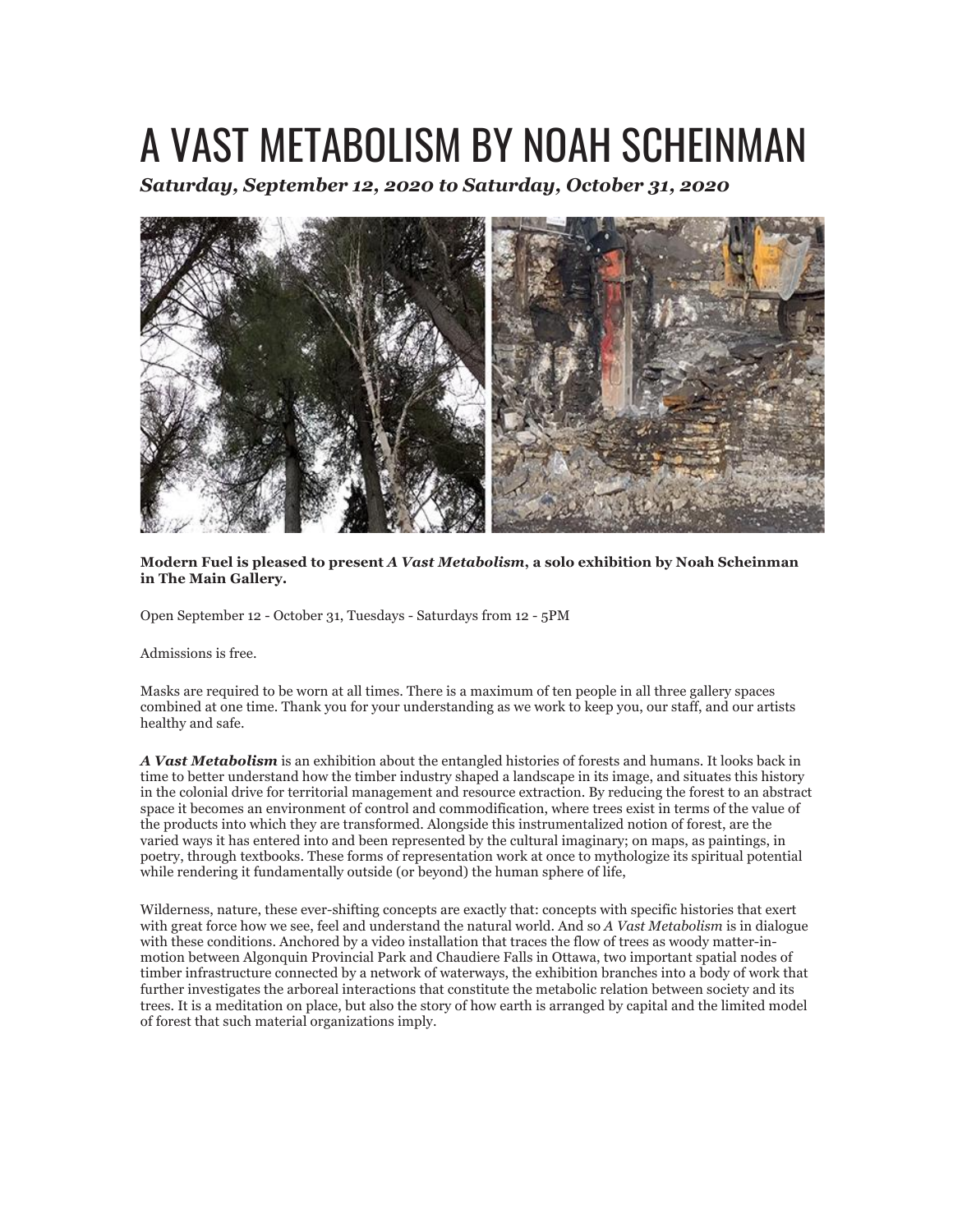## A VAST METABOLISM BY NOAH SCHEINMAN

*Saturday, September 12, 2020 to Saturday, October 31, 2020*



**Modern Fuel is pleased to present** *A Vast Metabolism***, a solo exhibition by Noah Scheinman in The Main Gallery.**

Open September 12 - October 31, Tuesdays - Saturdays from 12 - 5PM

Admissions is free.

Masks are required to be worn at all times. There is a maximum of ten people in all three gallery spaces combined at one time. Thank you for your understanding as we work to keep you, our staff, and our artists healthy and safe.

*A Vast Metabolism* is an exhibition about the entangled histories of forests and humans. It looks back in time to better understand how the timber industry shaped a landscape in its image, and situates this history in the colonial drive for territorial management and resource extraction. By reducing the forest to an abstract space it becomes an environment of control and commodification, where trees exist in terms of the value of the products into which they are transformed. Alongside this instrumentalized notion of forest, are the varied ways it has entered into and been represented by the cultural imaginary; on maps, as paintings, in poetry, through textbooks. These forms of representation work at once to mythologize its spiritual potential while rendering it fundamentally outside (or beyond) the human sphere of life,

Wilderness, nature, these ever-shifting concepts are exactly that: concepts with specific histories that exert with great force how we see, feel and understand the natural world. And so *A Vast Metabolism* is in dialogue with these conditions. Anchored by a video installation that traces the flow of trees as woody matter-inmotion between Algonquin Provincial Park and Chaudiere Falls in Ottawa, two important spatial nodes of timber infrastructure connected by a network of waterways, the exhibition branches into a body of work that further investigates the arboreal interactions that constitute the metabolic relation between society and its trees. It is a meditation on place, but also the story of how earth is arranged by capital and the limited model of forest that such material organizations imply.